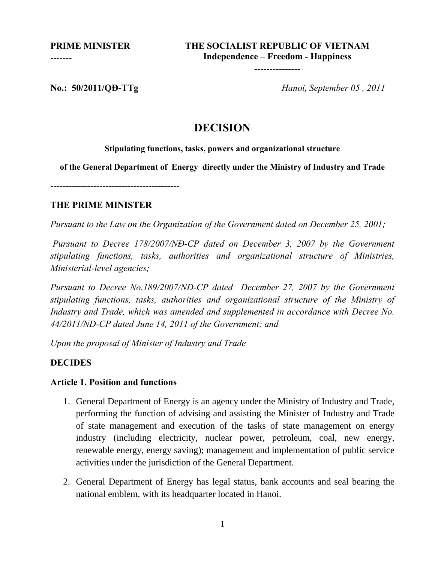**PRIME MINISTER**

-------

---------------

**No.: 50/2011/QĐ-TTg** *Hanoi, September 05 , 2011*

# **DECISION**

#### **Stipulating functions, tasks, powers and organizational structure**

**of the General Department of Energy directly under the Ministry of Industry and Trade** 

**------------------------------------------** 

## **THE PRIME MINISTER**

*Pursuant to the Law on the Organization of the Government dated on December 25, 2001;* 

 *Pursuant to Decree 178/2007/NĐ-CP dated on December 3, 2007 by the Government stipulating functions, tasks, authorities and organizational structure of Ministries, Ministerial-level agencies;* 

*Pursuant to Decree No.189/2007/NĐ-CP dated December 27, 2007 by the Government stipulating functions, tasks, authorities and organizational structure of the Ministry of Industry and Trade, which was amended and supplemented in accordance with Decree No. 44/2011/ND-CP dated June 14, 2011 of the Government; and* 

*Upon the proposal of Minister of Industry and Trade* 

## **DECIDES**

## **Article 1. Position and functions**

- 1. General Department of Energy is an agency under the Ministry of Industry and Trade, performing the function of advising and assisting the Minister of Industry and Trade of state management and execution of the tasks of state management on energy industry (including electricity, nuclear power, petroleum, coal, new energy, renewable energy, energy saving); management and implementation of public service activities under the jurisdiction of the General Department.
- 2. General Department of Energy has legal status, bank accounts and seal bearing the national emblem, with its headquarter located in Hanoi.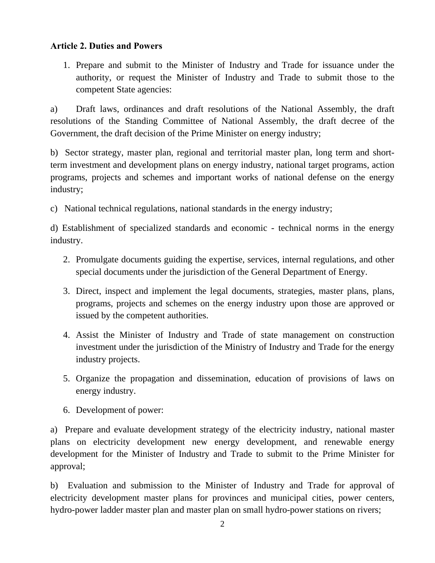## **Article 2. Duties and Powers**

1. Prepare and submit to the Minister of Industry and Trade for issuance under the authority, or request the Minister of Industry and Trade to submit those to the competent State agencies:

a) Draft laws, ordinances and draft resolutions of the National Assembly, the draft resolutions of the Standing Committee of National Assembly, the draft decree of the Government, the draft decision of the Prime Minister on energy industry;

b) Sector strategy, master plan, regional and territorial master plan, long term and shortterm investment and development plans on energy industry, national target programs, action programs, projects and schemes and important works of national defense on the energy industry;

c) National technical regulations, national standards in the energy industry;

d) Establishment of specialized standards and economic - technical norms in the energy industry.

- 2. Promulgate documents guiding the expertise, services, internal regulations, and other special documents under the jurisdiction of the General Department of Energy.
- 3. Direct, inspect and implement the legal documents, strategies, master plans, plans, programs, projects and schemes on the energy industry upon those are approved or issued by the competent authorities.
- 4. Assist the Minister of Industry and Trade of state management on construction investment under the jurisdiction of the Ministry of Industry and Trade for the energy industry projects.
- 5. Organize the propagation and dissemination, education of provisions of laws on energy industry.
- 6. Development of power:

a) Prepare and evaluate development strategy of the electricity industry, national master plans on electricity development new energy development, and renewable energy development for the Minister of Industry and Trade to submit to the Prime Minister for approval;

b) Evaluation and submission to the Minister of Industry and Trade for approval of electricity development master plans for provinces and municipal cities, power centers, hydro-power ladder master plan and master plan on small hydro-power stations on rivers;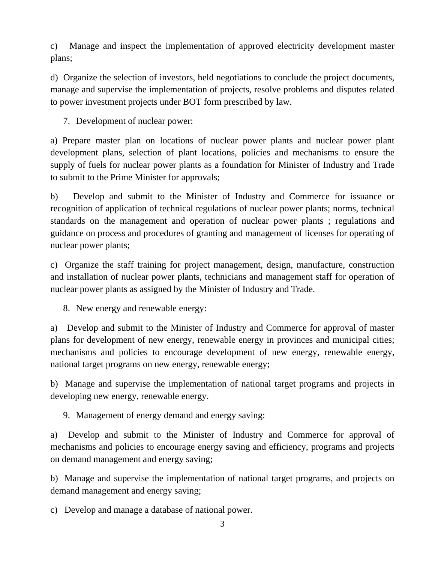c) Manage and inspect the implementation of approved electricity development master plans;

d) Organize the selection of investors, held negotiations to conclude the project documents, manage and supervise the implementation of projects, resolve problems and disputes related to power investment projects under BOT form prescribed by law.

7. Development of nuclear power:

a) Prepare master plan on locations of nuclear power plants and nuclear power plant development plans, selection of plant locations, policies and mechanisms to ensure the supply of fuels for nuclear power plants as a foundation for Minister of Industry and Trade to submit to the Prime Minister for approvals;

b) Develop and submit to the Minister of Industry and Commerce for issuance or recognition of application of technical regulations of nuclear power plants; norms, technical standards on the management and operation of nuclear power plants ; regulations and guidance on process and procedures of granting and management of licenses for operating of nuclear power plants;

c) Organize the staff training for project management, design, manufacture, construction and installation of nuclear power plants, technicians and management staff for operation of nuclear power plants as assigned by the Minister of Industry and Trade.

8. New energy and renewable energy:

a) Develop and submit to the Minister of Industry and Commerce for approval of master plans for development of new energy, renewable energy in provinces and municipal cities; mechanisms and policies to encourage development of new energy, renewable energy, national target programs on new energy, renewable energy;

b) Manage and supervise the implementation of national target programs and projects in developing new energy, renewable energy.

9. Management of energy demand and energy saving:

a) Develop and submit to the Minister of Industry and Commerce for approval of mechanisms and policies to encourage energy saving and efficiency, programs and projects on demand management and energy saving;

b) Manage and supervise the implementation of national target programs, and projects on demand management and energy saving;

c) Develop and manage a database of national power.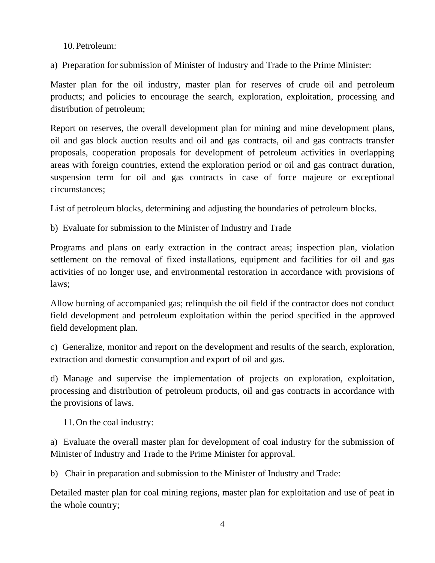10.Petroleum:

a) Preparation for submission of Minister of Industry and Trade to the Prime Minister:

Master plan for the oil industry, master plan for reserves of crude oil and petroleum products; and policies to encourage the search, exploration, exploitation, processing and distribution of petroleum;

Report on reserves, the overall development plan for mining and mine development plans, oil and gas block auction results and oil and gas contracts, oil and gas contracts transfer proposals, cooperation proposals for development of petroleum activities in overlapping areas with foreign countries, extend the exploration period or oil and gas contract duration, suspension term for oil and gas contracts in case of force majeure or exceptional circumstances;

List of petroleum blocks, determining and adjusting the boundaries of petroleum blocks.

b) Evaluate for submission to the Minister of Industry and Trade

Programs and plans on early extraction in the contract areas; inspection plan, violation settlement on the removal of fixed installations, equipment and facilities for oil and gas activities of no longer use, and environmental restoration in accordance with provisions of laws;

Allow burning of accompanied gas; relinquish the oil field if the contractor does not conduct field development and petroleum exploitation within the period specified in the approved field development plan.

c) Generalize, monitor and report on the development and results of the search, exploration, extraction and domestic consumption and export of oil and gas.

d) Manage and supervise the implementation of projects on exploration, exploitation, processing and distribution of petroleum products, oil and gas contracts in accordance with the provisions of laws.

11.On the coal industry:

a) Evaluate the overall master plan for development of coal industry for the submission of Minister of Industry and Trade to the Prime Minister for approval.

b) Chair in preparation and submission to the Minister of Industry and Trade:

Detailed master plan for coal mining regions, master plan for exploitation and use of peat in the whole country;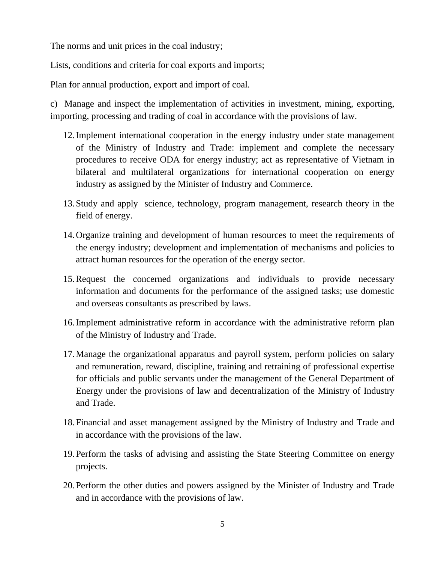The norms and unit prices in the coal industry;

Lists, conditions and criteria for coal exports and imports;

Plan for annual production, export and import of coal.

c) Manage and inspect the implementation of activities in investment, mining, exporting, importing, processing and trading of coal in accordance with the provisions of law.

- 12.Implement international cooperation in the energy industry under state management of the Ministry of Industry and Trade: implement and complete the necessary procedures to receive ODA for energy industry; act as representative of Vietnam in bilateral and multilateral organizations for international cooperation on energy industry as assigned by the Minister of Industry and Commerce.
- 13.Study and apply science, technology, program management, research theory in the field of energy.
- 14.Organize training and development of human resources to meet the requirements of the energy industry; development and implementation of mechanisms and policies to attract human resources for the operation of the energy sector.
- 15.Request the concerned organizations and individuals to provide necessary information and documents for the performance of the assigned tasks; use domestic and overseas consultants as prescribed by laws.
- 16.Implement administrative reform in accordance with the administrative reform plan of the Ministry of Industry and Trade.
- 17.Manage the organizational apparatus and payroll system, perform policies on salary and remuneration, reward, discipline, training and retraining of professional expertise for officials and public servants under the management of the General Department of Energy under the provisions of law and decentralization of the Ministry of Industry and Trade.
- 18.Financial and asset management assigned by the Ministry of Industry and Trade and in accordance with the provisions of the law.
- 19.Perform the tasks of advising and assisting the State Steering Committee on energy projects.
- 20.Perform the other duties and powers assigned by the Minister of Industry and Trade and in accordance with the provisions of law.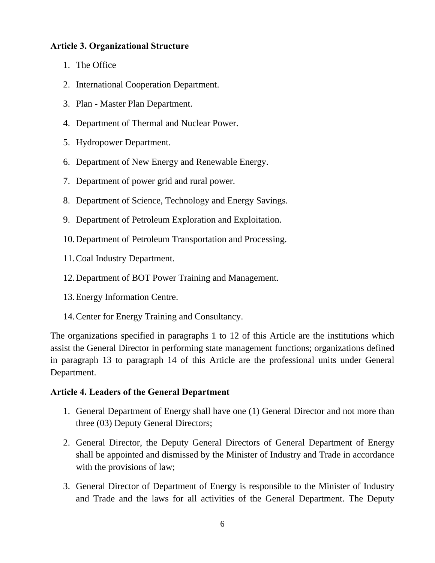## **Article 3. Organizational Structure**

- 1. The Office
- 2. International Cooperation Department.
- 3. Plan Master Plan Department.
- 4. Department of Thermal and Nuclear Power.
- 5. Hydropower Department.
- 6. Department of New Energy and Renewable Energy.
- 7. Department of power grid and rural power.
- 8. Department of Science, Technology and Energy Savings.
- 9. Department of Petroleum Exploration and Exploitation.
- 10.Department of Petroleum Transportation and Processing.
- 11.Coal Industry Department.
- 12.Department of BOT Power Training and Management.
- 13.Energy Information Centre.
- 14.Center for Energy Training and Consultancy.

The organizations specified in paragraphs 1 to 12 of this Article are the institutions which assist the General Director in performing state management functions; organizations defined in paragraph 13 to paragraph 14 of this Article are the professional units under General Department.

## **Article 4. Leaders of the General Department**

- 1. General Department of Energy shall have one (1) General Director and not more than three (03) Deputy General Directors;
- 2. General Director, the Deputy General Directors of General Department of Energy shall be appointed and dismissed by the Minister of Industry and Trade in accordance with the provisions of law;
- 3. General Director of Department of Energy is responsible to the Minister of Industry and Trade and the laws for all activities of the General Department. The Deputy